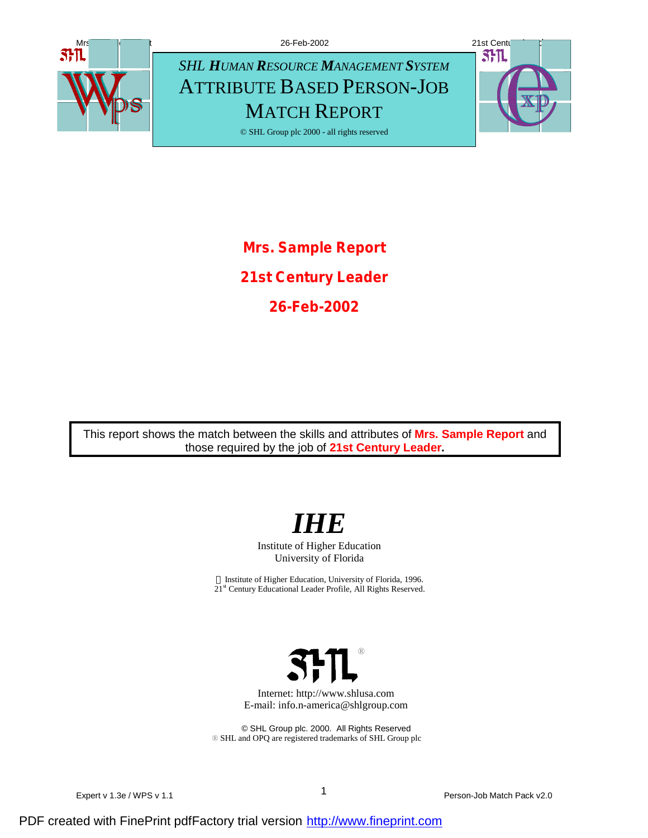

**Mrs. Sample Report 21st Century Leader 26-Feb-2002**

This report shows the match between the skills and attributes of **Mrs. Sample Report** and those required by the job of **21st Century Leader.**



Institute of Higher Education University of Florida

 $©$  Institute of Higher Education, University of Florida, 1996. 21<sup>st</sup> Century Educational Leader Profile, All Rights Reserved.



Internet: http://www.shlusa.com E-mail: info.n-america@shlgroup.com

© SHL Group plc. 2000. All Rights Reserved ® SHL and OPQ are registered trademarks of SHL Group plc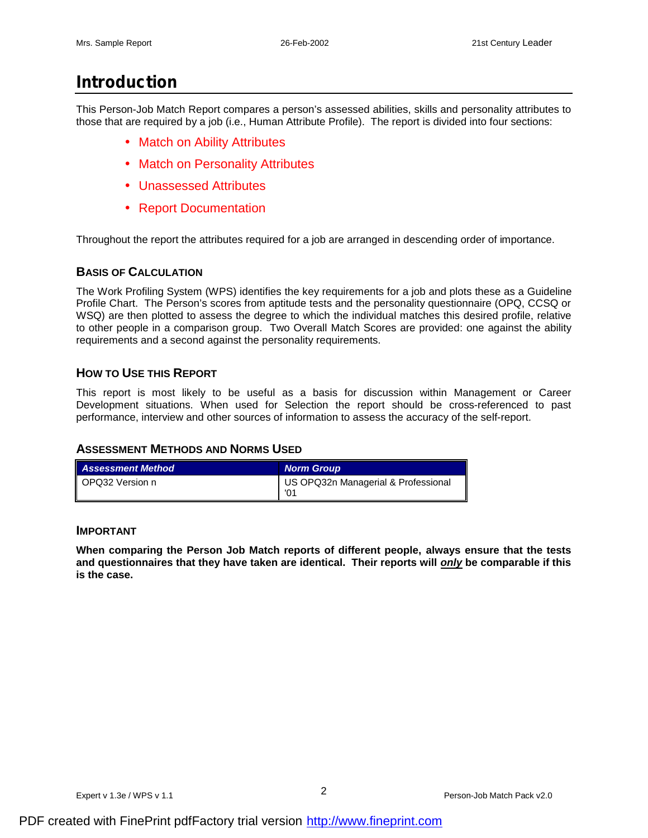# **Introduction**

This Person-Job Match Report compares a person's assessed abilities, skills and personality attributes to those that are required by a job (i.e., Human Attribute Profile). The report is divided into four sections:

- Match on Ability Attributes
- Match on Personality Attributes
- Unassessed Attributes
- Report Documentation

Throughout the report the attributes required for a job are arranged in descending order of importance.

## **BASIS OF CALCULATION**

The Work Profiling System (WPS) identifies the key requirements for a job and plots these as a Guideline Profile Chart. The Person's scores from aptitude tests and the personality questionnaire (OPQ, CCSQ or WSQ) are then plotted to assess the degree to which the individual matches this desired profile, relative to other people in a comparison group. Two Overall Match Scores are provided: one against the ability requirements and a second against the personality requirements.

## **HOW TO USE THIS REPORT**

This report is most likely to be useful as a basis for discussion within Management or Career Development situations. When used for Selection the report should be cross-referenced to past performance, interview and other sources of information to assess the accuracy of the self-report.

## **ASSESSMENT METHODS AND NORMS USED**

| <b>Assessment Method</b> | <b>Norm Group</b>                   |
|--------------------------|-------------------------------------|
| ll OPQ32 Version n       | US OPQ32n Managerial & Professional |

#### **IMPORTANT**

**When comparing the Person Job Match reports of different people, always ensure that the tests and questionnaires that they have taken are identical. Their reports will** *only* **be comparable if this is the case.**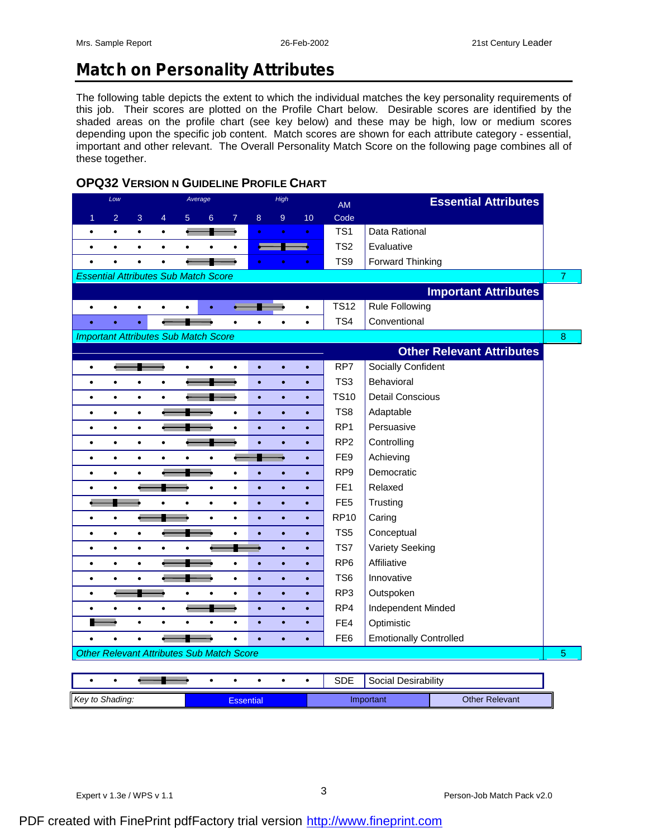# **Match on Personality Attributes**

The following table depicts the extent to which the individual matches the key personality requirements of this job. Their scores are plotted on the Profile Chart below. Desirable scores are identified by the shaded areas on the profile chart (see key below) and these may be high, low or medium scores depending upon the specific job content. Match scores are shown for each attribute category - essential, important and other relevant. The Overall Personality Match Score on the following page combines all of these together.

# **OPQ32 VERSION N GUIDELINE PROFILE CHART**

| Low                                              | Average                                                 | High                   |           | <b>AM</b>       | <b>Essential Attributes</b>      |                |
|--------------------------------------------------|---------------------------------------------------------|------------------------|-----------|-----------------|----------------------------------|----------------|
| $\overline{2}$<br>3<br>1                         | $\overline{4}$<br>5 <sup>5</sup><br>$\overline{7}$<br>6 | 8<br>9                 | 10        | Code            |                                  |                |
| $\bullet$<br>$\bullet$<br>$\bullet$              | $\bullet$                                               | $\bullet$              | $\bullet$ | TS <sub>1</sub> | Data Rational                    |                |
| $\bullet$<br>$\bullet$<br>$\bullet$              | $\bullet$<br>$\bullet$<br>٠<br>٠                        |                        | ۰         | TS <sub>2</sub> | Evaluative                       |                |
| $\bullet$<br>$\bullet$<br>$\bullet$              | $\bullet$                                               |                        | $\bullet$ | TS <sub>9</sub> | <b>Forward Thinking</b>          |                |
| <b>Essential Attributes Sub Match Score</b>      |                                                         |                        |           |                 |                                  | $\overline{7}$ |
|                                                  |                                                         |                        |           |                 | <b>Important Attributes</b>      |                |
| $\bullet$<br>$\bullet$<br>$\bullet$              |                                                         |                        | $\bullet$ | <b>TS12</b>     | <b>Rule Following</b>            |                |
| $\bullet$<br>ö<br>ö                              |                                                         |                        | $\bullet$ | TS4             | Conventional                     |                |
| <b>Important Attributes Sub Match Score</b>      |                                                         |                        |           |                 |                                  | $\bf{8}$       |
|                                                  |                                                         |                        |           |                 | <b>Other Relevant Attributes</b> |                |
| $\bullet$                                        | $\bullet$<br>$\bullet$<br>٠                             | ó<br>$\bullet$         | ö         | RP7             | Socially Confident               |                |
| $\bullet$<br>$\bullet$<br>$\bullet$              | $\bullet$                                               | $\bullet$<br>$\bullet$ | $\bullet$ | TS <sub>3</sub> | Behavioral                       |                |
| $\bullet$<br>$\bullet$<br>$\bullet$              | $\bullet$                                               | $\bullet$<br>$\bullet$ | $\bullet$ | <b>TS10</b>     | <b>Detail Conscious</b>          |                |
| $\bullet$<br>$\bullet$<br>$\bullet$              | $\bullet$                                               | $\bullet$<br>$\bullet$ | $\bullet$ | TS8             | Adaptable                        |                |
| $\bullet$<br>$\bullet$<br>٠                      | $\bullet$                                               | ó<br>ó                 | $\bullet$ | RP <sub>1</sub> | Persuasive                       |                |
| $\bullet$<br>$\bullet$<br>$\bullet$              | $\bullet$                                               | $\bullet$<br>$\bullet$ | $\bullet$ | RP <sub>2</sub> | Controlling                      |                |
| $\bullet$<br>$\bullet$<br>$\bullet$              | $\bullet$<br>$\bullet$<br>۰                             |                        | $\bullet$ | FE <sub>9</sub> | Achieving                        |                |
| $\bullet$<br>$\bullet$<br>$\bullet$              | $\bullet$                                               | $\bullet$<br>$\bullet$ | $\bullet$ | RP <sub>9</sub> | Democratic                       |                |
| $\bullet$<br>$\bullet$                           | $\bullet$<br>$\bullet$                                  | $\bullet$<br>$\bullet$ | $\bullet$ | FE <sub>1</sub> | Relaxed                          |                |
|                                                  | $\bullet$<br>$\bullet$<br>$\bullet$                     | $\bullet$<br>$\bullet$ | $\bullet$ | FE <sub>5</sub> | Trusting                         |                |
| $\bullet$<br>$\bullet$                           | $\bullet$<br>$\bullet$                                  | $\bullet$<br>$\bullet$ | $\bullet$ | <b>RP10</b>     | Caring                           |                |
| $\bullet$<br>$\bullet$<br>$\bullet$              | $\bullet$                                               | ö<br>۵                 | $\bullet$ | TS <sub>5</sub> | Conceptual                       |                |
| $\bullet$<br>$\bullet$<br>$\bullet$              | $\bullet$                                               | $\bullet$              | $\bullet$ | TS7             | Variety Seeking                  |                |
| $\bullet$<br>$\bullet$<br>$\bullet$              | $\bullet$                                               | $\bullet$<br>$\bullet$ | $\bullet$ | RP <sub>6</sub> | Affiliative                      |                |
| $\bullet$<br>$\bullet$<br>$\bullet$              | $\bullet$                                               | $\bullet$<br>$\bullet$ | $\bullet$ | TS <sub>6</sub> | Innovative                       |                |
| ٠                                                | $\bullet$<br>$\bullet$<br>٠                             | $\bullet$<br>$\bullet$ | $\bullet$ | RP3             | Outspoken                        |                |
| $\bullet$<br>$\bullet$                           | $\bullet$                                               | $\bullet$<br>$\bullet$ | $\bullet$ | RP4             | Independent Minded               |                |
| $\bullet$                                        | $\bullet$<br>$\bullet$                                  | $\bullet$<br>$\bullet$ | $\bullet$ | FE4             | Optimistic                       |                |
| ٠<br>٠                                           | $\bullet$                                               | ä                      | ö         | FE <sub>6</sub> | <b>Emotionally Controlled</b>    |                |
| <b>Other Relevant Attributes Sub Match Score</b> |                                                         |                        |           |                 | $\overline{5}$                   |                |
|                                                  |                                                         |                        |           |                 |                                  |                |
| $\bullet$<br>$\bullet$                           | $\bullet$                                               |                        | $\bullet$ | <b>SDE</b>      | Social Desirability              |                |

**Key to Shading: Essential Important Character Character Character Character Character Character Character Character Character Character Character Character Character Character Character Character Character Character Cha**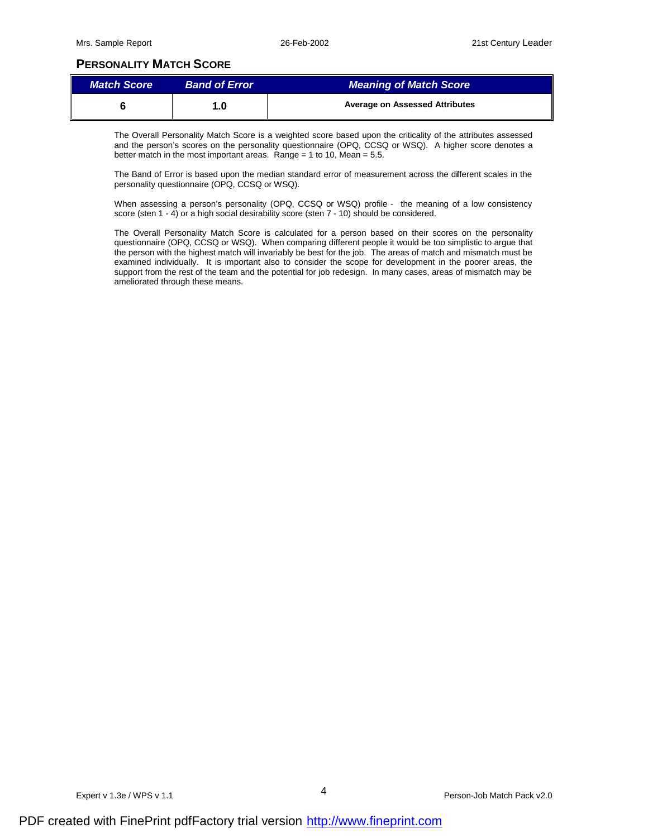# **PERSONALITY MATCH SCORE**

| <b>Match Score</b> | <b>Band of Error</b> | Meaning of Match Score                |
|--------------------|----------------------|---------------------------------------|
|                    | l.O                  | <b>Average on Assessed Attributes</b> |

The Overall Personality Match Score is a weighted score based upon the criticality of the attributes assessed and the person's scores on the personality questionnaire (OPQ, CCSQ or WSQ). A higher score denotes a better match in the most important areas. Range = 1 to 10, Mean =  $5.5$ .

The Band of Error is based upon the median standard error of measurement across the different scales in the personality questionnaire (OPQ, CCSQ or WSQ).

When assessing a person's personality (OPQ, CCSQ or WSQ) profile - the meaning of a low consistency score (sten 1 - 4) or a high social desirability score (sten 7 - 10) should be considered.

The Overall Personality Match Score is calculated for a person based on their scores on the personality questionnaire (OPQ, CCSQ or WSQ). When comparing different people it would be too simplistic to argue that the person with the highest match will invariably be best for the job. The areas of match and mismatch must be examined individually. It is important also to consider the scope for development in the poorer areas, the support from the rest of the team and the potential for job redesign. In many cases, areas of mismatch may be ameliorated through these means.